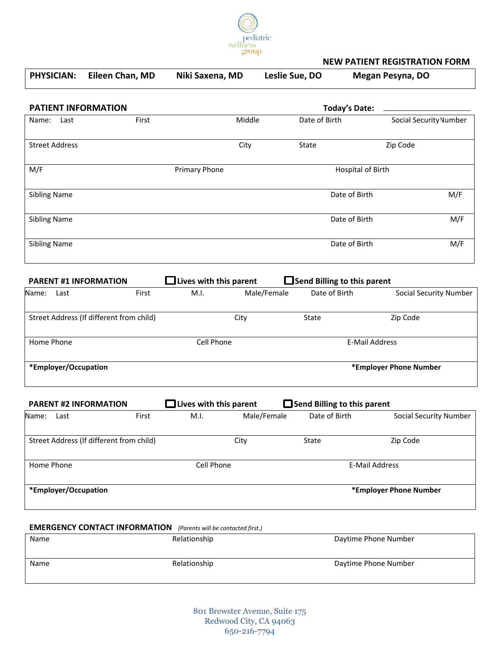

### **NEW PATIENT REGISTRATION FORM**

|                                                                         | <b>PHYSICIAN:</b>     | Eileen Chan, MD                          | Niki Saxena, MD               | Leslie Sue, DO |                                    | <b>Megan Pesyna, DO</b>       |
|-------------------------------------------------------------------------|-----------------------|------------------------------------------|-------------------------------|----------------|------------------------------------|-------------------------------|
|                                                                         |                       | <b>PATIENT INFORMATION</b>               |                               |                | <b>Today's Date:</b>               |                               |
| Name:                                                                   | Last                  | First                                    | Middle                        | Date of Birth  |                                    | Social Security Number        |
|                                                                         | <b>Street Address</b> |                                          | City                          | State          |                                    | Zip Code                      |
| M/F                                                                     |                       |                                          | Primary Phone                 |                | <b>Hospital of Birth</b>           |                               |
| <b>Sibling Name</b>                                                     |                       |                                          |                               |                | Date of Birth                      | M/F                           |
| <b>Sibling Name</b>                                                     |                       |                                          |                               |                | Date of Birth                      | M/F                           |
| <b>Sibling Name</b>                                                     |                       |                                          |                               |                | Date of Birth                      | M/F                           |
|                                                                         |                       | <b>PARENT #1 INFORMATION</b>             | $\Box$ Lives with this parent |                | Send Billing to this parent        |                               |
| Name:                                                                   | Last                  | First                                    | M.I.                          | Male/Female    | Date of Birth                      | <b>Social Security Number</b> |
|                                                                         |                       | Street Address (If different from child) | City                          | State          |                                    | Zip Code                      |
| Home Phone                                                              |                       |                                          | Cell Phone                    |                | <b>E-Mail Address</b>              |                               |
|                                                                         | *Employer/Occupation  |                                          |                               |                |                                    | *Employer Phone Number        |
|                                                                         |                       | <b>PARENT #2 INFORMATION</b>             | $\Box$ Lives with this parent |                | $\Box$ Send Billing to this parent |                               |
| Name:                                                                   | Last                  | First                                    | M.I.                          | Male/Female    | Date of Birth                      | <b>Social Security Number</b> |
|                                                                         |                       | Street Address (If different from child) | City                          | State          |                                    | Zip Code                      |
| Home Phone                                                              |                       |                                          | Cell Phone                    |                | <b>E-Mail Address</b>              |                               |
|                                                                         | *Employer/Occupation  |                                          |                               |                |                                    | *Employer Phone Number        |
| <b>EMERGENCY CONTACT INFORMATION</b> (Parents will be contacted first.) |                       |                                          |                               |                |                                    |                               |
| Name                                                                    |                       |                                          | Relationship                  |                | Daytime Phone Number               |                               |

801 Brewster Avenue, Suite 175 Redwood City, CA 94063 650-216-7794

Name **Name** Relationship Relationship Daytime Phone Number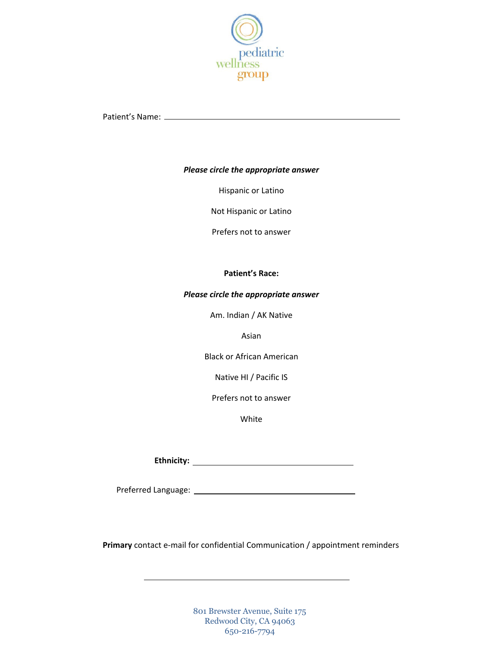

Patient's Name:

### *Please circle the appropriate answer*

Hispanic or Latino

Not Hispanic or Latino

Prefers not to answer

### **Patient's Race:**

### *Please circle the appropriate answer*

Am. Indian / AK Native

Asian

Black or African American

Native HI / Pacific IS

Prefers not to answer

White

**Ethnicity:**

Preferred Language:

**Primary** contact e-mail for confidential Communication / appointment reminders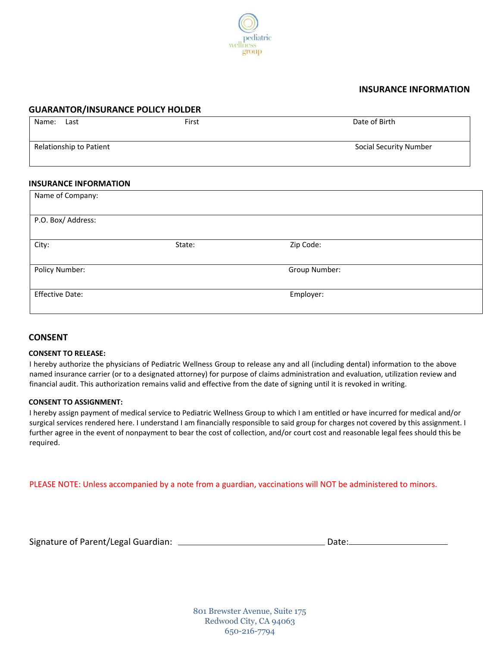

### **INSURANCE INFORMATION**

### **GUARANTOR/INSURANCE POLICY HOLDER**

| Name: | Last                    | First | Date of Birth                 |
|-------|-------------------------|-------|-------------------------------|
|       | Relationship to Patient |       | <b>Social Security Number</b> |

### **INSURANCE INFORMATION**

| Name of Company:       |        |               |  |  |
|------------------------|--------|---------------|--|--|
|                        |        |               |  |  |
| P.O. Box/ Address:     |        |               |  |  |
| City:                  | State: | Zip Code:     |  |  |
|                        |        |               |  |  |
| Policy Number:         |        | Group Number: |  |  |
|                        |        |               |  |  |
| <b>Effective Date:</b> |        | Employer:     |  |  |
|                        |        |               |  |  |

### **CONSENT**

### **CONSENT TO RELEASE:**

I hereby authorize the physicians of Pediatric Wellness Group to release any and all (including dental) information to the above named insurance carrier (or to a designated attorney) for purpose of claims administration and evaluation, utilization review and financial audit. This authorization remains valid and effective from the date of signing until it is revoked in writing.

### **CONSENT TO ASSIGNMENT:**

I hereby assign payment of medical service to Pediatric Wellness Group to which I am entitled or have incurred for medical and/or surgical services rendered here. I understand I am financially responsible to said group for charges not covered by this assignment. I further agree in the event of nonpayment to bear the cost of collection, and/or court cost and reasonable legal fees should this be required.

PLEASE NOTE: Unless accompanied by a note from a guardian, vaccinations will NOT be administered to minors.

Signature of Parent/Legal Guardian: Date: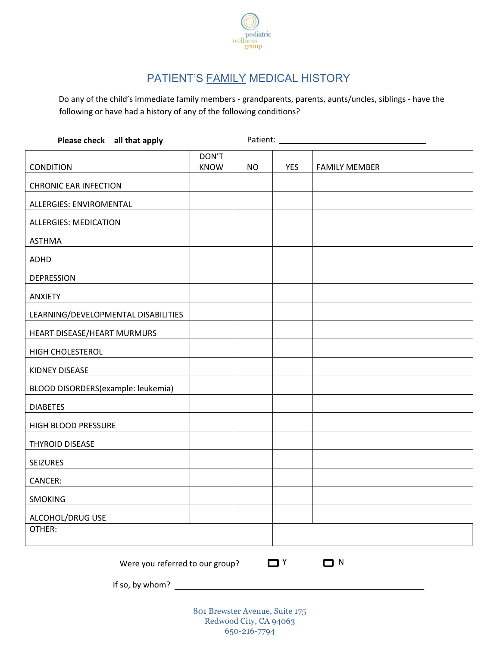

# PATIENT'S **FAMILY MEDICAL HISTORY**

Do any of the child's immediate family members - grandparents, parents, aunts/uncles, siblings - have the following or have had a history of any of the following conditions?

| Please check all that apply                       |                      | Patient:  |            |                      |
|---------------------------------------------------|----------------------|-----------|------------|----------------------|
| <b>CONDITION</b>                                  | DON'T<br><b>KNOW</b> | <b>NO</b> | <b>YES</b> | <b>FAMILY MEMBER</b> |
| <b>CHRONIC EAR INFECTION</b>                      |                      |           |            |                      |
| ALLERGIES: ENVIROMENTAL                           |                      |           |            |                      |
| <b>ALLERGIES: MEDICATION</b>                      |                      |           |            |                      |
| <b>ASTHMA</b>                                     |                      |           |            |                      |
| ADHD                                              |                      |           |            |                      |
| <b>DEPRESSION</b>                                 |                      |           |            |                      |
| <b>ANXIETY</b>                                    |                      |           |            |                      |
| LEARNING/DEVELOPMENTAL DISABILITIES               |                      |           |            |                      |
| HEART DISEASE/HEART MURMURS                       |                      |           |            |                      |
| <b>HIGH CHOLESTEROL</b>                           |                      |           |            |                      |
| KIDNEY DISEASE                                    |                      |           |            |                      |
| BLOOD DISORDERS(example: leukemia)                |                      |           |            |                      |
| <b>DIABETES</b>                                   |                      |           |            |                      |
| HIGH BLOOD PRESSURE                               |                      |           |            |                      |
| <b>THYROID DISEASE</b>                            |                      |           |            |                      |
| <b>SEIZURES</b>                                   |                      |           |            |                      |
| CANCER:                                           |                      |           |            |                      |
| <b>SMOKING</b>                                    |                      |           |            |                      |
| ALCOHOL/DRUG USE                                  |                      |           |            |                      |
| OTHER:                                            |                      |           |            |                      |
| $\Box$ N<br>┓⋎<br>Were you referred to our group? |                      |           |            |                      |
| If so, by whom?                                   |                      |           |            |                      |
| 801 Brewster Avenue, Suite 175                    |                      |           |            |                      |
| Redwood City, CA 94063                            |                      |           |            |                      |

650-216-7794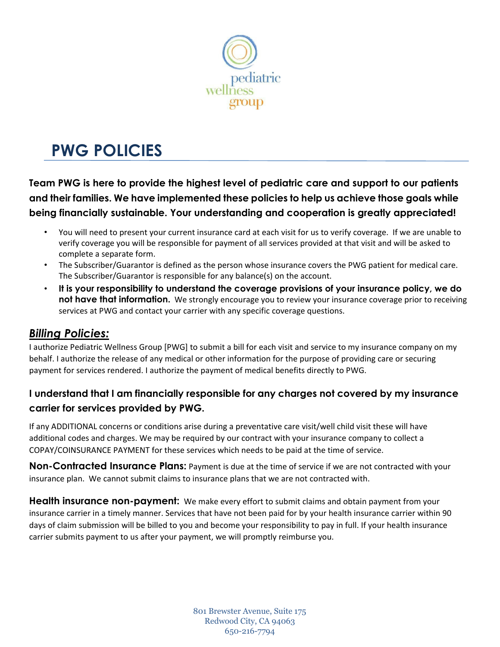

# **PWG POLICIES**

**Team PWG is here to provide the highest level of pediatric care and support to our patients and their families. We have implemented these policies to help us achieve those goals while being financially sustainable. Your understanding and cooperation is greatly appreciated!** 

- You will need to present your current insurance card at each visit for us to verify coverage. If we are unable to verify coverage you will be responsible for payment of all services provided at that visit and will be asked to complete a separate form.
- The Subscriber/Guarantor is defined as the person whose insurance covers the PWG patient for medical care. The Subscriber/Guarantor is responsible for any balance(s) on the account.
- **It is your responsibility to understand the coverage provisions of your insurance policy, we do not have that information.** We strongly encourage you to review your insurance coverage prior to receiving services at PWG and contact your carrier with any specific coverage questions.

## *Billing Policies:*

I authorize Pediatric Wellness Group [PWG] to submit a bill for each visit and service to my insurance company on my behalf. I authorize the release of any medical or other information for the purpose of providing care or securing payment for services rendered. I authorize the payment of medical benefits directly to PWG.

### **I understand that I am financially responsible for any charges not covered by my insurance carrier for services provided by PWG.**

If any ADDITIONAL concerns or conditions arise during a preventative care visit/well child visit these will have additional codes and charges. We may be required by our contract with your insurance company to collect a COPAY/COINSURANCE PAYMENT for these services which needs to be paid at the time of service.

**Non-Contracted Insurance Plans:** Payment is due at the time of service if we are not contracted with your insurance plan. We cannot submit claims to insurance plans that we are not contracted with.

**Health insurance non-payment:** We make every effort to submit claims and obtain payment from your insurance carrier in a timely manner. Services that have not been paid for by your health insurance carrier within 90 days of claim submission will be billed to you and become your responsibility to pay in full. If your health insurance carrier submits payment to us after your payment, we will promptly reimburse you.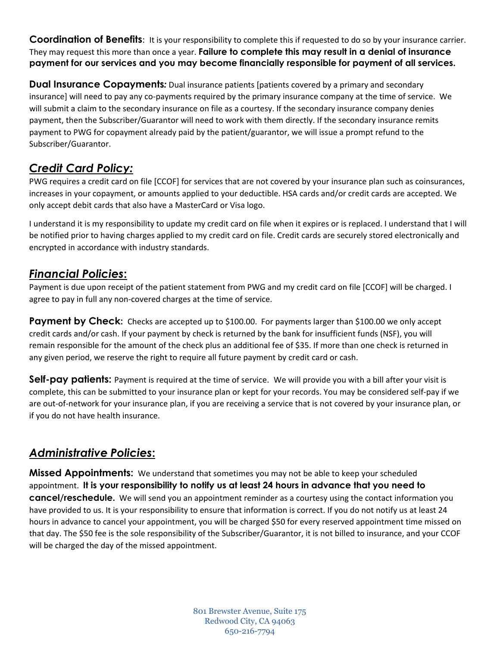**Coordination of Benefits**: It is your responsibility to complete this if requested to do so by your insurance carrier. They may request this more than once a year. **Failure to complete this may result in a denial of insurance payment for our services and you may become financially responsible for payment of all services.** 

**Dual Insurance Copayments**: Dual insurance patients [patients covered by a primary and secondary insurance] will need to pay any co-payments required by the primary insurance company at the time of service. We will submit a claim to the secondary insurance on file as a courtesy. If the secondary insurance company denies payment, then the Subscriber/Guarantor will need to work with them directly. If the secondary insurance remits payment to PWG for copayment already paid by the patient/guarantor, we will issue a prompt refund to the Subscriber/Guarantor.

# *Credit Card Policy:*

PWG requires a credit card on file [CCOF] for services that are not covered by your insurance plan such as coinsurances, increases in your copayment, or amounts applied to your deductible. HSA cards and/or credit cards are accepted. We only accept debit cards that also have a MasterCard or Visa logo.

I understand it is my responsibility to update my credit card on file when it expires or is replaced. I understand that I will be notified prior to having charges applied to my credit card on file. Credit cards are securely stored electronically and encrypted in accordance with industry standards.

## *Financial Policies***:**

Payment is due upon receipt of the patient statement from PWG and my credit card on file [CCOF] will be charged. I agree to pay in full any non-covered charges at the time of service.

**Payment by Check:** Checks are accepted up to \$100.00. For payments larger than \$100.00 we only accept credit cards and/or cash. If your payment by check is returned by the bank for insufficient funds (NSF), you will remain responsible for the amount of the check plus an additional fee of \$35. If more than one check is returned in any given period, we reserve the right to require all future payment by credit card or cash.

**Self-pay patients:** Payment is required at the time of service. We will provide you with a bill after your visit is complete, this can be submitted to your insurance plan or kept for your records. You may be considered self-pay if we are out-of-network for your insurance plan, if you are receiving a service that is not covered by your insurance plan, or if you do not have health insurance.

## *Administrative Policies***:**

**Missed Appointments:** We understand that sometimes you may not be able to keep your scheduled appointment. **It is your responsibility to notify us at least 24 hours in advance that you need to cancel/reschedule.** We will send you an appointment reminder as a courtesy using the contact information you have provided to us. It is your responsibility to ensure that information is correct. If you do not notify us at least 24 hours in advance to cancel your appointment, you will be charged \$50 for every reserved appointment time missed on that day. The \$50 fee is the sole responsibility of the Subscriber/Guarantor, it is not billed to insurance, and your CCOF will be charged the day of the missed appointment.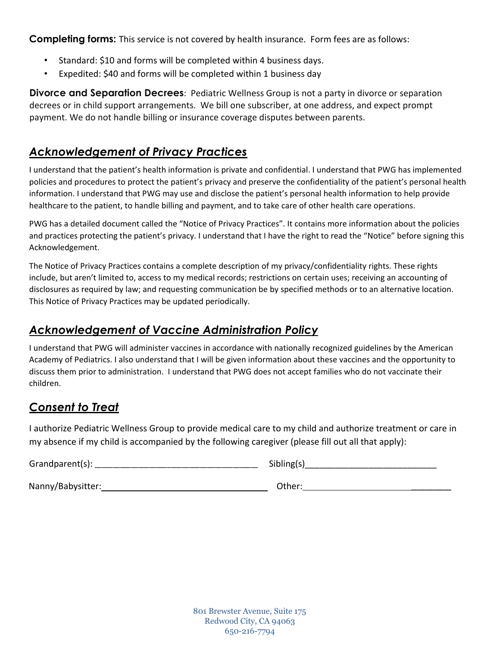**Completing forms:** This service is not covered by health insurance. Form fees are as follows:

- Standard: \$10 and forms will be completed within 4 business days.
- Expedited: \$40 and forms will be completed within 1 business day

**Divorce and Separation Decrees**: Pediatric Wellness Group is not a party in divorce or separation decrees or in child support arrangements. We bill one subscriber, at one address, and expect prompt payment. We do not handle billing or insurance coverage disputes between parents.

## *Acknowledgement of Privacy Practices*

I understand that the patient's health information is private and confidential. I understand that PWG has implemented policies and procedures to protect the patient's privacy and preserve the confidentiality of the patient's personal health information. I understand that PWG may use and disclose the patient's personal health information to help provide healthcare to the patient, to handle billing and payment, and to take care of other health care operations.

PWG has a detailed document called the "Notice of Privacy Practices". It contains more information about the policies and practices protecting the patient's privacy. I understand that I have the right to read the "Notice" before signing this Acknowledgement.

The Notice of Privacy Practices contains a complete description of my privacy/confidentiality rights. These rights include, but aren't limited to, access to my medical records; restrictions on certain uses; receiving an accounting of disclosures as required by law; and requesting communication be by specified methods or to an alternative location. This Notice of Privacy Practices may be updated periodically.

## *Acknowledgement of Vaccine Administration Policy*

I understand that PWG will administer vaccines in accordance with nationally recognized guidelines by the American Academy of Pediatrics. I also understand that I will be given information about these vaccines and the opportunity to discuss them prior to administration. I understand that PWG does not accept families who do not vaccinate their children.

## *Consent to Treat*

I authorize Pediatric Wellness Group to provide medical care to my child and authorize treatment or care in my absence if my child is accompanied by the following caregiver (please fill out all that apply):

| Grandparent(s): $\_$ | Sibling(s) |
|----------------------|------------|
| Nanny/Babysitter:    | Other:     |